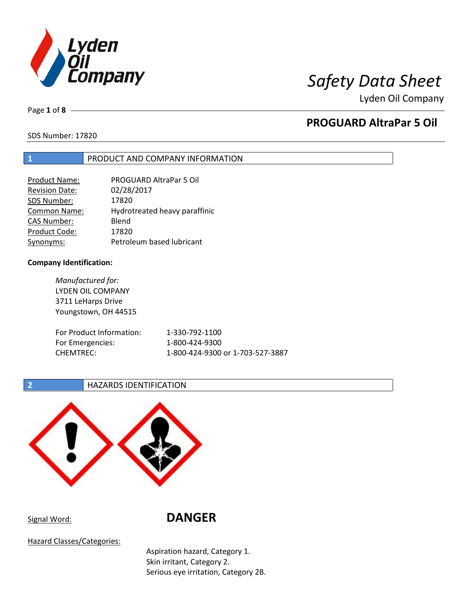

Lyden Oil Company

Page **1** of **8**

### **PROGUARD AltraPar 5 Oil**

SDS Number: 17820

#### **1** PRODUCT AND COMPANY INFORMATION

| <b>Product Name:</b>  | PROGUARD AltraPar 5 Oil       |
|-----------------------|-------------------------------|
| <b>Revision Date:</b> | 02/28/2017                    |
| SDS Number:           | 17820                         |
| <b>Common Name:</b>   | Hydrotreated heavy paraffinic |
| <b>CAS Number:</b>    | Blend                         |
| Product Code:         | 17820                         |
| Synonyms:             | Petroleum based lubricant     |

#### **Company Identification:**

*Manufactured for:*  LYDEN OIL COMPANY 3711 LeHarps Drive Youngstown, OH 44515 For Product Information: 1-330-792-1100 For Emergencies: 1-800-424-9300 CHEMTREC: 1-800-424-9300 or 1-703-527-3887

#### **2 HAZARDS IDENTIFICATION**



### Signal Word: **DANGER**

Hazard Classes/Categories:

Aspiration hazard, Category 1. Skin irritant, Category 2. Serious eye irritation, Category 2B.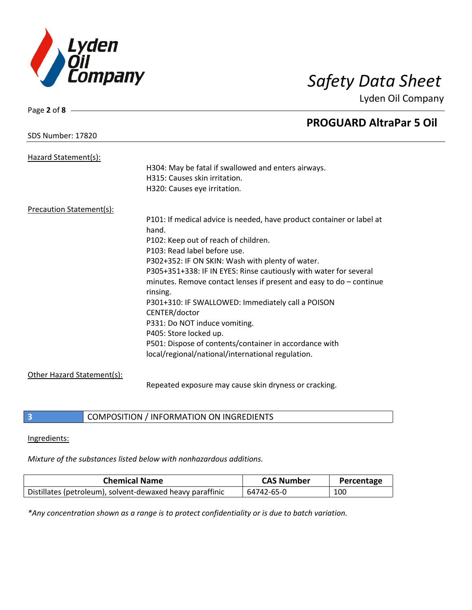

Lyden Oil Company

| Page 2 of $8 -$                 |                                                                       |
|---------------------------------|-----------------------------------------------------------------------|
|                                 | <b>PROGUARD AltraPar 5 Oil</b>                                        |
| <b>SDS Number: 17820</b>        |                                                                       |
|                                 |                                                                       |
| Hazard Statement(s):            |                                                                       |
|                                 | H304: May be fatal if swallowed and enters airways.                   |
|                                 | H315: Causes skin irritation.                                         |
|                                 | H320: Causes eye irritation.                                          |
| <b>Precaution Statement(s):</b> |                                                                       |
|                                 | P101: If medical advice is needed, have product container or label at |
|                                 | hand.                                                                 |
|                                 | P102: Keep out of reach of children.                                  |
|                                 | P103: Read label before use.                                          |
|                                 | P302+352: IF ON SKIN: Wash with plenty of water.                      |
|                                 | P305+351+338: IF IN EYES: Rinse cautiously with water for several     |
|                                 | minutes. Remove contact lenses if present and easy to $do$ – continue |
|                                 | rinsing.                                                              |
|                                 | P301+310: IF SWALLOWED: Immediately call a POISON                     |
|                                 | CENTER/doctor                                                         |
|                                 | P331: Do NOT induce vomiting.                                         |
|                                 | P405: Store locked up.                                                |
|                                 |                                                                       |
|                                 | P501: Dispose of contents/container in accordance with                |
|                                 | local/regional/national/international regulation.                     |
| Other Hazard Statement(s):      |                                                                       |
|                                 | Repeated exposure may cause skin dryness or cracking.                 |

**3** COMPOSITION / INFORMATION ON INGREDIENTS

Ingredients:

*Mixture of the substances listed below with nonhazardous additions.* 

| <b>Chemical Name</b>                                      | <b>CAS Number</b> | Percentage |
|-----------------------------------------------------------|-------------------|------------|
| Distillates (petroleum), solvent-dewaxed heavy paraffinic | 64742-65-0        | 100        |

*\*Any concentration shown as a range is to protect confidentiality or is due to batch variation.*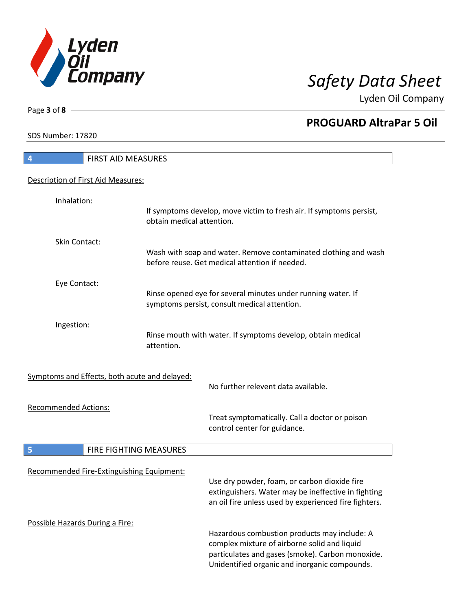

**PROGUARD AltraPar 5 Oil** 

Lyden Oil Company

SDS Number: 17820

Page **3** of **8**

### **4** FIRST AID MEASURES Description of First Aid Measures: Inhalation: If symptoms develop, move victim to fresh air. If symptoms persist, obtain medical attention. Skin Contact: Wash with soap and water. Remove contaminated clothing and wash before reuse. Get medical attention if needed. Eye Contact: Rinse opened eye for several minutes under running water. If symptoms persist, consult medical attention. Ingestion: Rinse mouth with water. If symptoms develop, obtain medical attention. Symptoms and Effects, both acute and delayed: No further relevent data available. Recommended Actions: Treat symptomatically. Call a doctor or poison control center for guidance. **5** FIRE FIGHTING MEASURES Recommended Fire-Extinguishing Equipment: Use dry powder, foam, or carbon dioxide fire extinguishers. Water may be ineffective in fighting an oil fire unless used by experienced fire fighters. Possible Hazards During a Fire: Hazardous combustion products may include: A complex mixture of airborne solid and liquid particulates and gases (smoke). Carbon monoxide. Unidentified organic and inorganic compounds.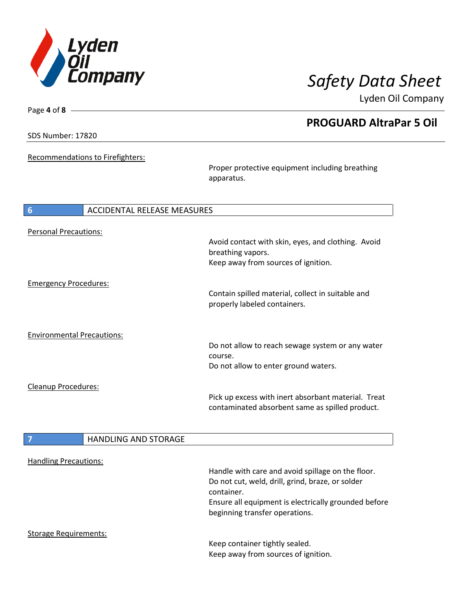

**PROGUARD AltraPar 5 Oil** 

Lyden Oil Company

SDS Number: 17820

Page **4** of **8**

Recommendations to Firefighters:

Proper protective equipment including breathing apparatus.

| 6                                 | <b>ACCIDENTAL RELEASE MEASURES</b> |                                                                                                                |
|-----------------------------------|------------------------------------|----------------------------------------------------------------------------------------------------------------|
| <b>Personal Precautions:</b>      |                                    | Avoid contact with skin, eyes, and clothing. Avoid<br>breathing vapors.<br>Keep away from sources of ignition. |
| <b>Emergency Procedures:</b>      |                                    | Contain spilled material, collect in suitable and<br>properly labeled containers.                              |
| <b>Environmental Precautions:</b> |                                    | Do not allow to reach sewage system or any water<br>course.<br>Do not allow to enter ground waters.            |
| Cleanup Procedures:               |                                    | Pick up excess with inert absorbant material. Treat<br>contaminated absorbent same as spilled product.         |
| $\overline{7}$                    | <b>HANDLING AND STORAGE</b>        |                                                                                                                |
| <b>Handling Precautions:</b>      |                                    | Handle with care and avoid spillage on the floor.                                                              |

container. Ensure all equipment is electrically grounded before beginning transfer operations.

Do not cut, weld, drill, grind, braze, or solder

Storage Requirements:

I

Keep container tightly sealed. Keep away from sources of ignition.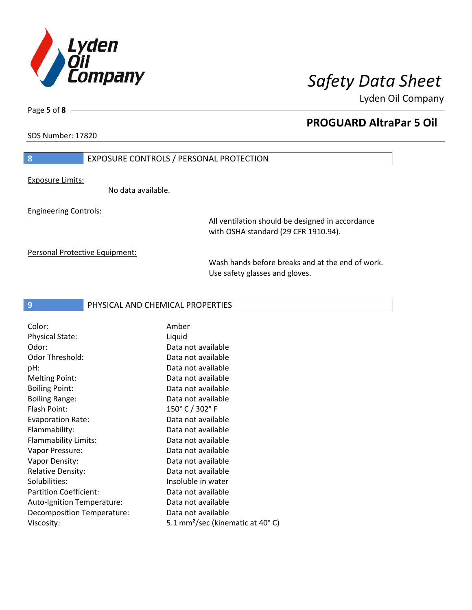

Lyden Oil Company

Page **5** of **8**

#### **PROGUARD AltraPar 5 Oil**

SDS Number: 17820

#### **8** EXPOSURE CONTROLS / PERSONAL PROTECTION

Exposure Limits:

No data available.

Engineering Controls:

All ventilation should be designed in accordance with OSHA standard (29 CFR 1910.94).

Personal Protective Equipment:

Wash hands before breaks and at the end of work. Use safety glasses and gloves.

#### **9** PHYSICAL AND CHEMICAL PROPERTIES

| Color:                        | Amber                                        |
|-------------------------------|----------------------------------------------|
| <b>Physical State:</b>        | Liquid                                       |
| Odor:                         | Data not available                           |
| Odor Threshold:               | Data not available                           |
| pH:                           | Data not available                           |
| <b>Melting Point:</b>         | Data not available                           |
| <b>Boiling Point:</b>         | Data not available                           |
| <b>Boiling Range:</b>         | Data not available                           |
| Flash Point:                  | 150° C / 302° F                              |
| <b>Evaporation Rate:</b>      | Data not available                           |
| Flammability:                 | Data not available                           |
| Flammability Limits:          | Data not available                           |
| Vapor Pressure:               | Data not available                           |
| Vapor Density:                | Data not available                           |
| <b>Relative Density:</b>      | Data not available                           |
| Solubilities:                 | Insoluble in water                           |
| <b>Partition Coefficient:</b> | Data not available                           |
| Auto-Ignition Temperature:    | Data not available                           |
| Decomposition Temperature:    | Data not available                           |
| Viscosity:                    | 5.1 mm <sup>2</sup> /sec (kinematic at 40°C) |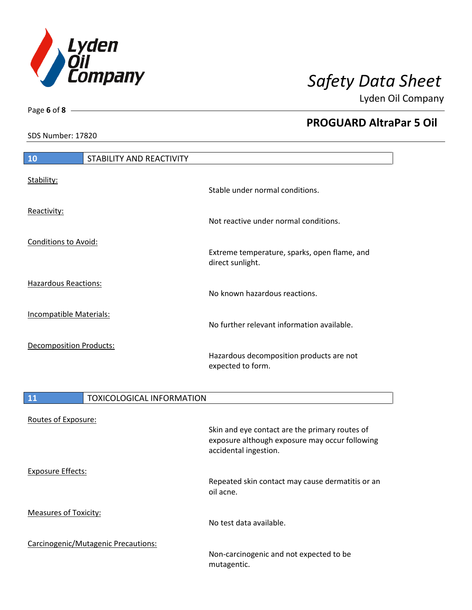

Lyden Oil Company

Page **6** of **8**

### **PROGUARD AltraPar 5 Oil**

SDS Number: 17820

| 10                             | STABILITY AND REACTIVITY                                         |
|--------------------------------|------------------------------------------------------------------|
| Stability:                     | Stable under normal conditions.                                  |
| Reactivity:                    | Not reactive under normal conditions.                            |
| <b>Conditions to Avoid:</b>    | Extreme temperature, sparks, open flame, and<br>direct sunlight. |
| <b>Hazardous Reactions:</b>    | No known hazardous reactions.                                    |
| Incompatible Materials:        | No further relevant information available.                       |
| <b>Decomposition Products:</b> | Hazardous decomposition products are not<br>expected to form.    |

| 11                           | <b>TOXICOLOGICAL INFORMATION</b>    |                                                                                                                           |
|------------------------------|-------------------------------------|---------------------------------------------------------------------------------------------------------------------------|
| Routes of Exposure:          |                                     | Skin and eye contact are the primary routes of<br>exposure although exposure may occur following<br>accidental ingestion. |
| <b>Exposure Effects:</b>     |                                     | Repeated skin contact may cause dermatitis or an<br>oil acne.                                                             |
| <b>Measures of Toxicity:</b> |                                     | No test data available.                                                                                                   |
|                              | Carcinogenic/Mutagenic Precautions: | Non-carcinogenic and not expected to be<br>mutagentic.                                                                    |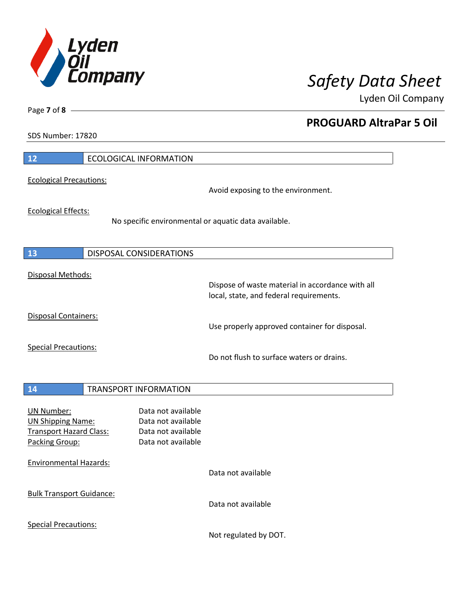

**PROGUARD AltraPar 5 Oil** 

Lyden Oil Company

SDS Number: 17820

Page **7** of **8**

| 12                                                                                                | <b>ECOLOGICAL INFORMATION</b>                                                               |
|---------------------------------------------------------------------------------------------------|---------------------------------------------------------------------------------------------|
| <b>Ecological Precautions:</b>                                                                    | Avoid exposing to the environment.                                                          |
| <b>Ecological Effects:</b>                                                                        | No specific environmental or aquatic data available.                                        |
| 13                                                                                                | <b>DISPOSAL CONSIDERATIONS</b>                                                              |
| Disposal Methods:                                                                                 | Dispose of waste material in accordance with all<br>local, state, and federal requirements. |
| Disposal Containers:                                                                              | Use properly approved container for disposal.                                               |
| <b>Special Precautions:</b>                                                                       | Do not flush to surface waters or drains.                                                   |
| 14                                                                                                | <b>TRANSPORT INFORMATION</b>                                                                |
| <b>UN Number:</b><br><b>UN Shipping Name:</b><br><b>Transport Hazard Class:</b><br>Packing Group: | Data not available<br>Data not available<br>Data not available<br>Data not available        |
| <b>Environmental Hazards:</b>                                                                     | Data not available                                                                          |
| <b>Bulk Transport Guidance:</b>                                                                   | Data not available                                                                          |
| <b>Special Precautions:</b>                                                                       |                                                                                             |

Not regulated by DOT.